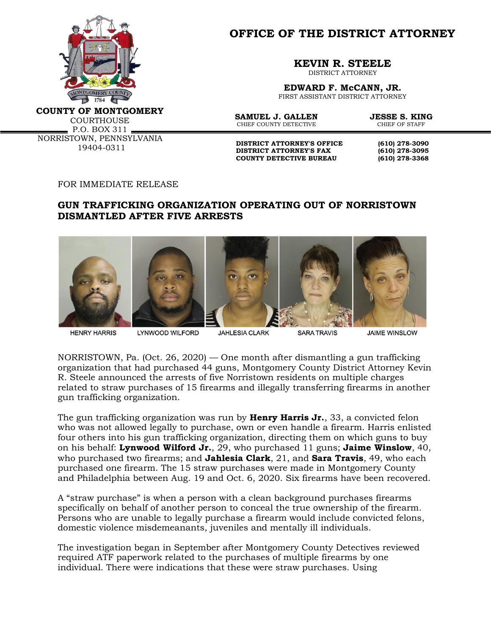

**OFFICE OF THE DISTRICT ATTORNEY**

**KEVIN R. STEELE**

DISTRICT ATTORNEY

**EDWARD F. McCANN, JR.** FIRST ASSISTANT DISTRICT ATTORNEY

**COUNTY OF MONTGOMERY**

COURTHOUSE P.O. BOX 311 NORRISTOWN, PENNSYLVANIA 19404-0311

**SAMUEL J. GALLEN JESSE S. KING**<br>CHIEF COUNTY DETECTIVE CHIEF OF STAFF CHIEF COUNTY DETECTIVE

**DISTRICT ATTORNEY'S OFFICE** (610) 278-3090<br>DISTRICT ATTORNEY'S FAX (610) 278-3095 **DISTRICT ATTORNEY'S FAX COUNTY DETECTIVE BUREAU (610) 278-3368**

FOR IMMEDIATE RELEASE

## **GUN TRAFFICKING ORGANIZATION OPERATING OUT OF NORRISTOWN DISMANTLED AFTER FIVE ARRESTS**



**HENRY HARRIS** 

LYNWOOD WILFORD

**JAHLESIA CLARK** 

**SARA TRAVIS** 

**JAIME WINSLOW** 

NORRISTOWN, Pa. (Oct. 26, 2020) — One month after dismantling a gun trafficking organization that had purchased 44 guns, Montgomery County District Attorney Kevin R. Steele announced the arrests of five Norristown residents on multiple charges related to straw purchases of 15 firearms and illegally transferring firearms in another gun trafficking organization.

The gun trafficking organization was run by **Henry Harris Jr.**, 33, a convicted felon who was not allowed legally to purchase, own or even handle a firearm. Harris enlisted four others into his gun trafficking organization, directing them on which guns to buy on his behalf: **Lynwood Wilford Jr.**, 29, who purchased 11 guns; **Jaime Winslow**, 40, who purchased two firearms; and **Jahlesia Clark**, 21, and **Sara Travis**, 49, who each purchased one firearm. The 15 straw purchases were made in Montgomery County and Philadelphia between Aug. 19 and Oct. 6, 2020. Six firearms have been recovered.

A "straw purchase" is when a person with a clean background purchases firearms specifically on behalf of another person to conceal the true ownership of the firearm*.* Persons who are unable to legally purchase a firearm would include convicted felons, domestic violence misdemeanants, juveniles and mentally ill individuals.

The investigation began in September after Montgomery County Detectives reviewed required ATF paperwork related to the purchases of multiple firearms by one individual. There were indications that these were straw purchases. Using